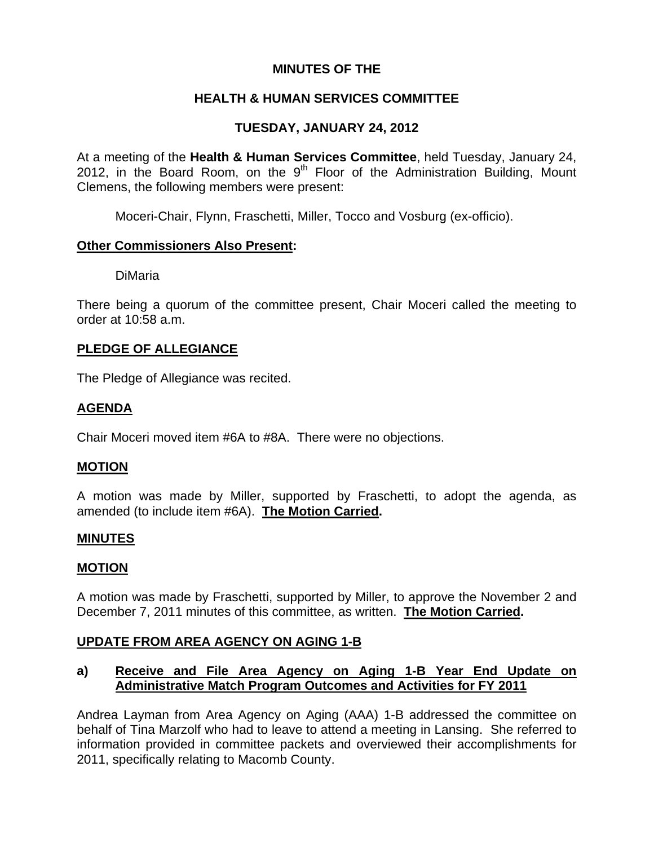## **MINUTES OF THE**

## **HEALTH & HUMAN SERVICES COMMITTEE**

# **TUESDAY, JANUARY 24, 2012**

At a meeting of the **Health & Human Services Committee**, held Tuesday, January 24, 2012, in the Board Room, on the  $9<sup>th</sup>$  Floor of the Administration Building, Mount Clemens, the following members were present:

Moceri-Chair, Flynn, Fraschetti, Miller, Tocco and Vosburg (ex-officio).

### **Other Commissioners Also Present:**

DiMaria

There being a quorum of the committee present, Chair Moceri called the meeting to order at 10:58 a.m.

### **PLEDGE OF ALLEGIANCE**

The Pledge of Allegiance was recited.

## **AGENDA**

Chair Moceri moved item #6A to #8A. There were no objections.

#### **MOTION**

A motion was made by Miller, supported by Fraschetti, to adopt the agenda, as amended (to include item #6A). **The Motion Carried.** 

#### **MINUTES**

#### **MOTION**

A motion was made by Fraschetti, supported by Miller, to approve the November 2 and December 7, 2011 minutes of this committee, as written. **The Motion Carried.** 

## **UPDATE FROM AREA AGENCY ON AGING 1-B**

### **a) Receive and File Area Agency on Aging 1-B Year End Update on Administrative Match Program Outcomes and Activities for FY 2011**

Andrea Layman from Area Agency on Aging (AAA) 1-B addressed the committee on behalf of Tina Marzolf who had to leave to attend a meeting in Lansing. She referred to information provided in committee packets and overviewed their accomplishments for 2011, specifically relating to Macomb County.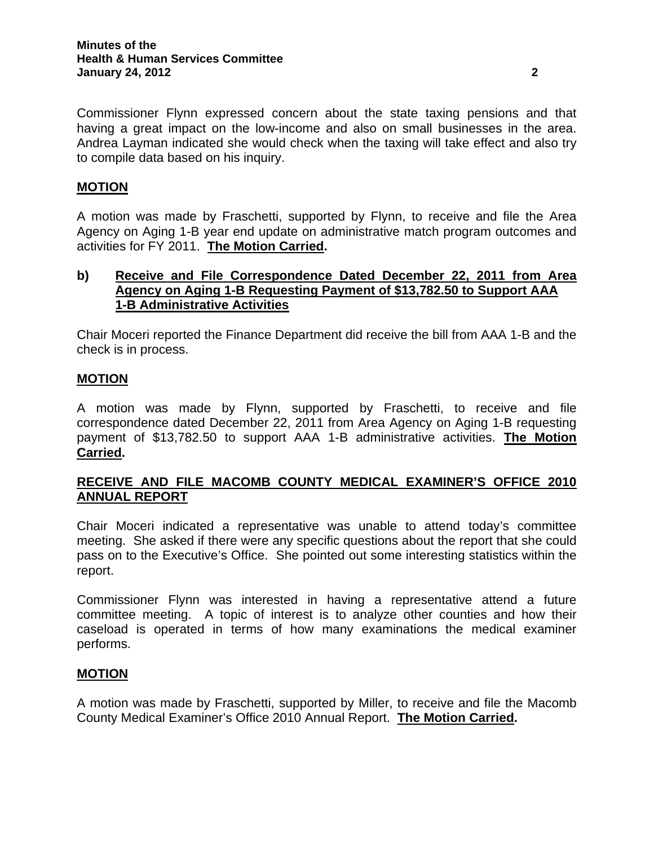## **MOTION**

A motion was made by Fraschetti, supported by Flynn, to receive and file the Area Agency on Aging 1-B year end update on administrative match program outcomes and activities for FY 2011. **The Motion Carried.** 

### **b) Receive and File Correspondence Dated December 22, 2011 from Area Agency on Aging 1-B Requesting Payment of \$13,782.50 to Support AAA 1-B Administrative Activities**

Chair Moceri reported the Finance Department did receive the bill from AAA 1-B and the check is in process.

### **MOTION**

A motion was made by Flynn, supported by Fraschetti, to receive and file correspondence dated December 22, 2011 from Area Agency on Aging 1-B requesting payment of \$13,782.50 to support AAA 1-B administrative activities. **The Motion Carried.** 

## **RECEIVE AND FILE MACOMB COUNTY MEDICAL EXAMINER'S OFFICE 2010 ANNUAL REPORT**

Chair Moceri indicated a representative was unable to attend today's committee meeting. She asked if there were any specific questions about the report that she could pass on to the Executive's Office. She pointed out some interesting statistics within the report.

Commissioner Flynn was interested in having a representative attend a future committee meeting. A topic of interest is to analyze other counties and how their caseload is operated in terms of how many examinations the medical examiner performs.

#### **MOTION**

A motion was made by Fraschetti, supported by Miller, to receive and file the Macomb County Medical Examiner's Office 2010 Annual Report. **The Motion Carried.**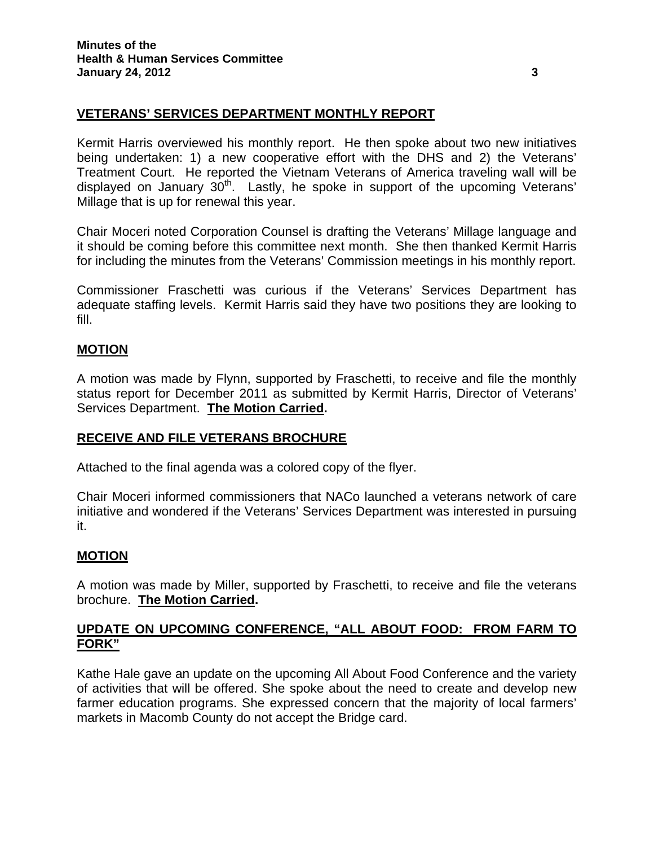# **VETERANS' SERVICES DEPARTMENT MONTHLY REPORT**

Kermit Harris overviewed his monthly report. He then spoke about two new initiatives being undertaken: 1) a new cooperative effort with the DHS and 2) the Veterans' Treatment Court. He reported the Vietnam Veterans of America traveling wall will be displayed on January  $30<sup>th</sup>$ . Lastly, he spoke in support of the upcoming Veterans' Millage that is up for renewal this year.

Chair Moceri noted Corporation Counsel is drafting the Veterans' Millage language and it should be coming before this committee next month. She then thanked Kermit Harris for including the minutes from the Veterans' Commission meetings in his monthly report.

Commissioner Fraschetti was curious if the Veterans' Services Department has adequate staffing levels. Kermit Harris said they have two positions they are looking to fill.

#### **MOTION**

A motion was made by Flynn, supported by Fraschetti, to receive and file the monthly status report for December 2011 as submitted by Kermit Harris, Director of Veterans' Services Department. **The Motion Carried.** 

#### **RECEIVE AND FILE VETERANS BROCHURE**

Attached to the final agenda was a colored copy of the flyer.

Chair Moceri informed commissioners that NACo launched a veterans network of care initiative and wondered if the Veterans' Services Department was interested in pursuing it.

## **MOTION**

A motion was made by Miller, supported by Fraschetti, to receive and file the veterans brochure. **The Motion Carried.** 

## **UPDATE ON UPCOMING CONFERENCE, "ALL ABOUT FOOD: FROM FARM TO FORK"**

Kathe Hale gave an update on the upcoming All About Food Conference and the variety of activities that will be offered. She spoke about the need to create and develop new farmer education programs. She expressed concern that the majority of local farmers' markets in Macomb County do not accept the Bridge card.